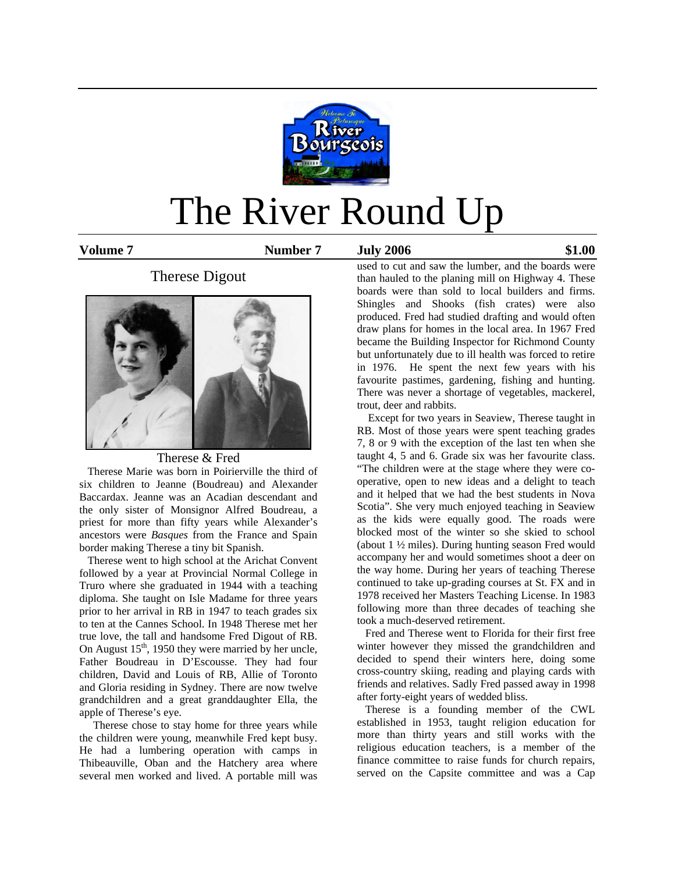

# The River Round Up

**Volume 7 Number 7 July 2006 \$1.00** 

# Therese Digout



# Therese & Fred

 Therese Marie was born in Poirierville the third of six children to Jeanne (Boudreau) and Alexander Baccardax. Jeanne was an Acadian descendant and the only sister of Monsignor Alfred Boudreau, a priest for more than fifty years while Alexander's ancestors were *Basques* from the France and Spain border making Therese a tiny bit Spanish.

 Therese went to high school at the Arichat Convent followed by a year at Provincial Normal College in Truro where she graduated in 1944 with a teaching diploma. She taught on Isle Madame for three years prior to her arrival in RB in 1947 to teach grades six to ten at the Cannes School. In 1948 Therese met her true love, the tall and handsome Fred Digout of RB. On August  $15<sup>th</sup>$ , 1950 they were married by her uncle, Father Boudreau in D'Escousse. They had four children, David and Louis of RB, Allie of Toronto and Gloria residing in Sydney. There are now twelve grandchildren and a great granddaughter Ella, the apple of Therese's eye.

Therese chose to stay home for three years while the children were young, meanwhile Fred kept busy. He had a lumbering operation with camps in Thibeauville, Oban and the Hatchery area where several men worked and lived. A portable mill was

used to cut and saw the lumber, and the boards were than hauled to the planing mill on Highway 4. These boards were than sold to local builders and firms. Shingles and Shooks (fish crates) were also produced. Fred had studied drafting and would often draw plans for homes in the local area. In 1967 Fred became the Building Inspector for Richmond County but unfortunately due to ill health was forced to retire in 1976. He spent the next few years with his favourite pastimes, gardening, fishing and hunting. There was never a shortage of vegetables, mackerel, trout, deer and rabbits.

Except for two years in Seaview, Therese taught in RB. Most of those years were spent teaching grades 7, 8 or 9 with the exception of the last ten when she taught 4, 5 and 6. Grade six was her favourite class. "The children were at the stage where they were cooperative, open to new ideas and a delight to teach and it helped that we had the best students in Nova Scotia". She very much enjoyed teaching in Seaview as the kids were equally good. The roads were blocked most of the winter so she skied to school (about 1 ½ miles). During hunting season Fred would accompany her and would sometimes shoot a deer on the way home. During her years of teaching Therese continued to take up-grading courses at St. FX and in 1978 received her Masters Teaching License. In 1983 following more than three decades of teaching she took a much-deserved retirement.

 Fred and Therese went to Florida for their first free winter however they missed the grandchildren and decided to spend their winters here, doing some cross-country skiing, reading and playing cards with friends and relatives. Sadly Fred passed away in 1998 after forty-eight years of wedded bliss.

 Therese is a founding member of the CWL established in 1953, taught religion education for more than thirty years and still works with the religious education teachers, is a member of the finance committee to raise funds for church repairs, served on the Capsite committee and was a Cap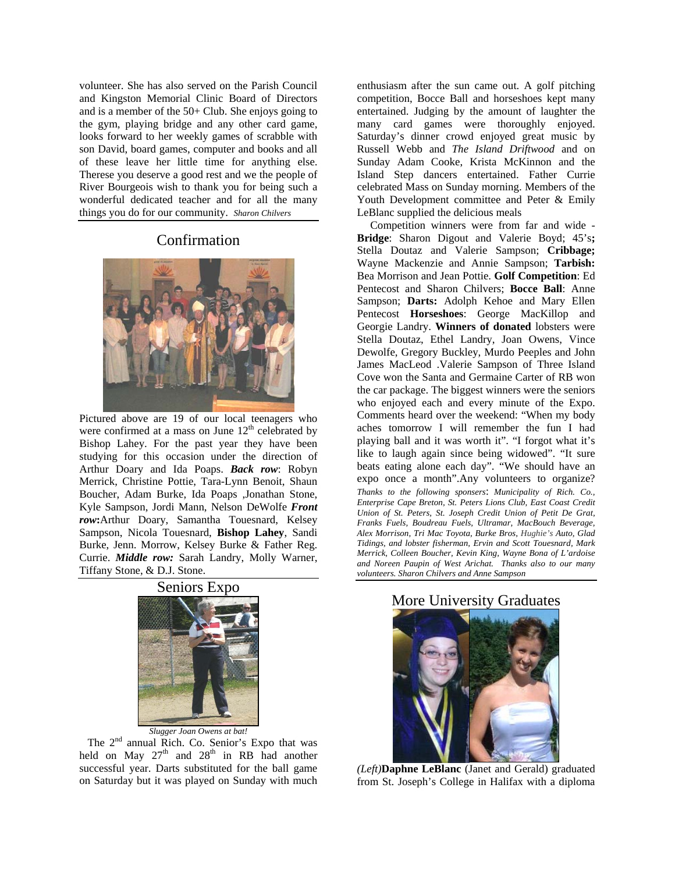volunteer. She has also served on the Parish Council and Kingston Memorial Clinic Board of Directors and is a member of the 50+ Club. She enjoys going to the gym, playing bridge and any other card game, looks forward to her weekly games of scrabble with son David, board games, computer and books and all of these leave her little time for anything else. Therese you deserve a good rest and we the people of River Bourgeois wish to thank you for being such a wonderful dedicated teacher and for all the many things you do for our community. *Sharon Chilvers*

## Confirmation



Pictured above are 19 of our local teenagers who were confirmed at a mass on June  $12<sup>th</sup>$  celebrated by Bishop Lahey. For the past year they have been studying for this occasion under the direction of Arthur Doary and Ida Poaps. *Back row*: Robyn Merrick, Christine Pottie, Tara-Lynn Benoit, Shaun Boucher, Adam Burke, Ida Poaps ,Jonathan Stone, Kyle Sampson, Jordi Mann, Nelson DeWolfe *Front row***:**Arthur Doary, Samantha Touesnard, Kelsey Sampson, Nicola Touesnard, **Bishop Lahey**, Sandi Burke, Jenn. Morrow, Kelsey Burke & Father Reg. Currie. *Middle row:* Sarah Landry, Molly Warner, Tiffany Stone, & D.J. Stone.

### Seniors Expo



The 2<sup>nd</sup> annual Rich. Co. Senior's Expo that was held on May  $27<sup>th</sup>$  and  $28<sup>th</sup>$  in RB had another successful year. Darts substituted for the ball game on Saturday but it was played on Sunday with much enthusiasm after the sun came out. A golf pitching competition, Bocce Ball and horseshoes kept many entertained. Judging by the amount of laughter the many card games were thoroughly enjoyed. Saturday's dinner crowd enjoyed great music by Russell Webb and *The Island Driftwood* and on Sunday Adam Cooke, Krista McKinnon and the Island Step dancers entertained. Father Currie celebrated Mass on Sunday morning. Members of the Youth Development committee and Peter & Emily LeBlanc supplied the delicious meals

 Competition winners were from far and wide - **Bridge**: Sharon Digout and Valerie Boyd; 45's**;**  Stella Doutaz and Valerie Sampson; **Cribbage;** Wayne Mackenzie and Annie Sampson; **Tarbish:**  Bea Morrison and Jean Pottie. **Golf Competition**: Ed Pentecost and Sharon Chilvers; **Bocce Ball**: Anne Sampson; **Darts:** Adolph Kehoe and Mary Ellen Pentecost **Horseshoes**: George MacKillop and Georgie Landry. **Winners of donated** lobsters were Stella Doutaz, Ethel Landry, Joan Owens, Vince Dewolfe, Gregory Buckley, Murdo Peeples and John James MacLeod .Valerie Sampson of Three Island Cove won the Santa and Germaine Carter of RB won the car package. The biggest winners were the seniors who enjoyed each and every minute of the Expo. Comments heard over the weekend: "When my body aches tomorrow I will remember the fun I had playing ball and it was worth it". "I forgot what it's like to laugh again since being widowed". "It sure beats eating alone each day". "We should have an expo once a month".Any volunteers to organize? *Thanks to the following sponsers*: *Municipality of Rich. Co., Enterprise Cape Breton, St. Peters Lions Club, East Coast Credit Union of St. Peters, St. Joseph Credit Union of Petit De Grat, Franks Fuels, Boudreau Fuels, Ultramar, MacBouch Beverage, Alex Morrison, Tri Mac Toyota, Burke Bros, Hughie's Auto, Glad Tidings, and lobster fisherman, Ervin and Scott Touesnard, Mark Merrick, Colleen Boucher, Kevin King, Wayne Bona of L'ardoise and Noreen Paupin of West Arichat. Thanks also to our many volunteers. Sharon Chilvers and Anne Sampson* 

*(Left)***Daphne LeBlanc** (Janet and Gerald) graduated from St. Joseph's College in Halifax with a diploma

More University Graduates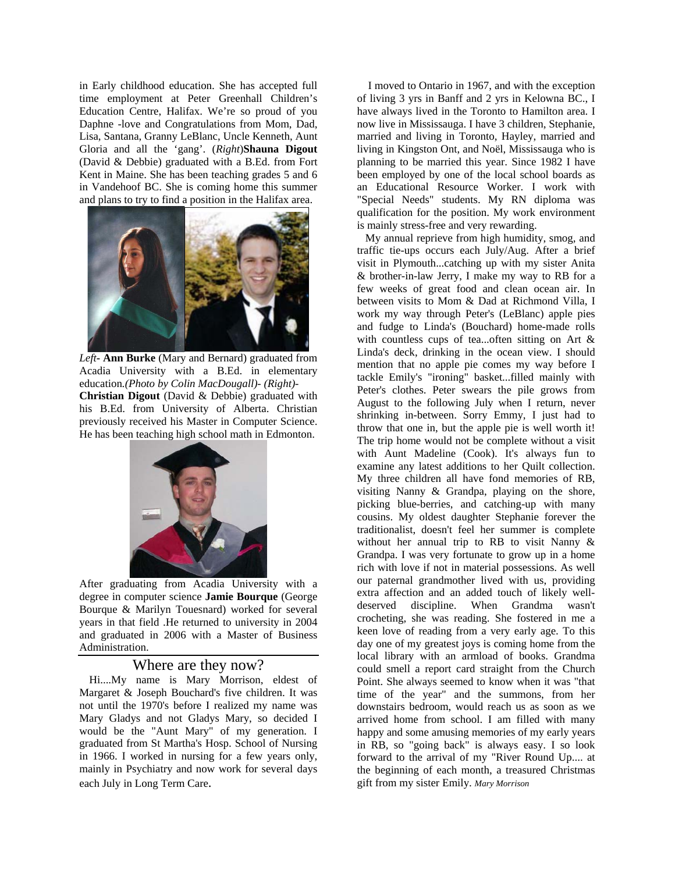in Early childhood education. She has accepted full time employment at Peter Greenhall Children's Education Centre, Halifax. We're so proud of you Daphne -love and Congratulations from Mom, Dad, Lisa, Santana, Granny LeBlanc, Uncle Kenneth, Aunt Gloria and all the 'gang'. (*Right*)**Shauna Digout** (David & Debbie) graduated with a B.Ed. from Fort Kent in Maine. She has been teaching grades 5 and 6 in Vandehoof BC. She is coming home this summer and plans to try to find a position in the Halifax area.



*Left***- Ann Burke** (Mary and Bernard) graduated from Acadia University with a B.Ed. in elementary education*.(Photo by Colin MacDougall)- (Right)-* **Christian Digout** (David & Debbie) graduated with his B.Ed. from University of Alberta. Christian previously received his Master in Computer Science. He has been teaching high school math in Edmonton.



After graduating from Acadia University with a degree in computer science **Jamie Bourque** (George Bourque & Marilyn Touesnard) worked for several years in that field .He returned to university in 2004 and graduated in 2006 with a Master of Business Administration.

Where are they now?<br>Hi....My name is Mary Morrison, eldest of Margaret & Joseph Bouchard's five children. It was not until the 1970's before I realized my name was Mary Gladys and not Gladys Mary, so decided I would be the "Aunt Mary" of my generation. I graduated from St Martha's Hosp. School of Nursing in 1966. I worked in nursing for a few years only, mainly in Psychiatry and now work for several days each July in Long Term Care.

 I moved to Ontario in 1967, and with the exception of living 3 yrs in Banff and 2 yrs in Kelowna BC., I have always lived in the Toronto to Hamilton area. I now live in Mississauga. I have 3 children, Stephanie, married and living in Toronto, Hayley, married and living in Kingston Ont, and Noël, Mississauga who is planning to be married this year. Since 1982 I have been employed by one of the local school boards as an Educational Resource Worker. I work with "Special Needs" students. My RN diploma was qualification for the position. My work environment is mainly stress-free and very rewarding.

 My annual reprieve from high humidity, smog, and traffic tie-ups occurs each July/Aug. After a brief visit in Plymouth...catching up with my sister Anita & brother-in-law Jerry, I make my way to RB for a few weeks of great food and clean ocean air. In between visits to Mom & Dad at Richmond Villa, I work my way through Peter's (LeBlanc) apple pies and fudge to Linda's (Bouchard) home-made rolls with countless cups of tea...often sitting on Art & Linda's deck, drinking in the ocean view. I should mention that no apple pie comes my way before I tackle Emily's "ironing" basket...filled mainly with Peter's clothes. Peter swears the pile grows from August to the following July when I return, never shrinking in-between. Sorry Emmy, I just had to throw that one in, but the apple pie is well worth it! The trip home would not be complete without a visit with Aunt Madeline (Cook). It's always fun to examine any latest additions to her Quilt collection. My three children all have fond memories of RB, visiting Nanny & Grandpa, playing on the shore, picking blue-berries, and catching-up with many cousins. My oldest daughter Stephanie forever the traditionalist, doesn't feel her summer is complete without her annual trip to RB to visit Nanny & Grandpa. I was very fortunate to grow up in a home rich with love if not in material possessions. As well our paternal grandmother lived with us, providing extra affection and an added touch of likely welldeserved discipline. When Grandma wasn't crocheting, she was reading. She fostered in me a keen love of reading from a very early age. To this day one of my greatest joys is coming home from the local library with an armload of books. Grandma could smell a report card straight from the Church Point. She always seemed to know when it was "that time of the year" and the summons, from her downstairs bedroom, would reach us as soon as we arrived home from school. I am filled with many happy and some amusing memories of my early years in RB, so "going back" is always easy. I so look forward to the arrival of my "River Round Up.... at the beginning of each month, a treasured Christmas gift from my sister Emily. *Mary Morrison*